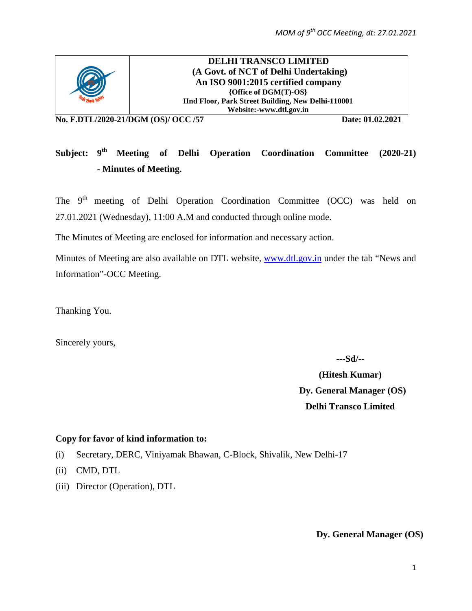

**DELHI TRANSCO LIMITED (A Govt. of NCT of Delhi Undertaking) An ISO 9001:2015 certified company {Office of DGM(T)-OS} IInd Floor, Park Street Building, New Delhi-110001 Website:-www.dtl.gov.in**

**No. F.DTL/2020-21/DGM (OS)/ OCC /57 Date: 01.02.2021**

# Subject: 9<sup>th</sup> Meeting of Delhi Operation Coordination Committee (2020-21) **- Minutes of Meeting.**

The 9<sup>th</sup> meeting of Delhi Operation Coordination Committee (OCC) was held on 27.01.2021 (Wednesday), 11:00 A.M and conducted through online mode.

The Minutes of Meeting are enclosed for information and necessary action.

Minutes of Meeting are also available on DTL website, [www.dtl.gov.in](http://www.dtl.gov.in/) under the tab "News and Information"-OCC Meeting.

Thanking You.

Sincerely yours,

**---Sd/--**

**(Hitesh Kumar) Dy. General Manager (OS) Delhi Transco Limited**

#### **Copy for favor of kind information to:**

- (i) Secretary, DERC, Viniyamak Bhawan, C-Block, Shivalik, New Delhi-17
- (ii) CMD, DTL
- (iii) Director (Operation), DTL

**Dy. General Manager (OS)**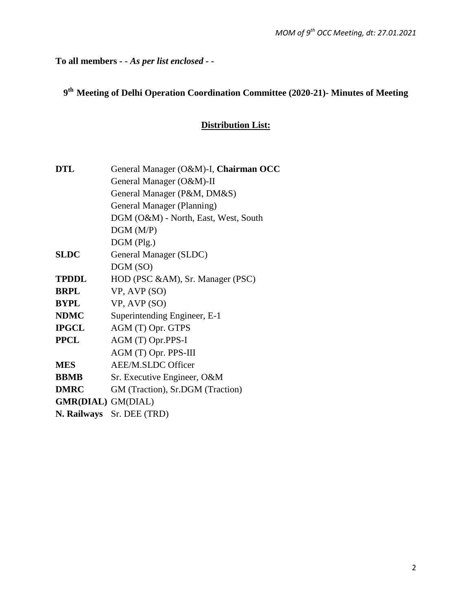**To all members** *- - As per list enclosed - -*

# **9th Meeting of Delhi Operation Coordination Committee (2020-21)- Minutes of Meeting**

## **Distribution List:**

| <b>DTL</b>                | General Manager (O&M)-I, Chairman OCC |  |  |
|---------------------------|---------------------------------------|--|--|
|                           | General Manager (O&M)-II              |  |  |
|                           | General Manager (P&M, DM&S)           |  |  |
|                           | General Manager (Planning)            |  |  |
|                           | DGM (O&M) - North, East, West, South  |  |  |
|                           | DGM(M/P)                              |  |  |
|                           | $DGM$ (Plg.)                          |  |  |
| <b>SLDC</b>               | General Manager (SLDC)                |  |  |
|                           | DGM (SO)                              |  |  |
| <b>TPDDL</b>              | HOD (PSC &AM), Sr. Manager (PSC)      |  |  |
| <b>BRPL</b>               | VP, AVP (SO)                          |  |  |
| BYPL                      | VP, AVP (SO)                          |  |  |
| <b>NDMC</b>               | Superintending Engineer, E-1          |  |  |
| <b>IPGCL</b>              | AGM (T) Opr. GTPS                     |  |  |
| <b>PPCL</b>               | AGM (T) Opr.PPS-I                     |  |  |
|                           | AGM (T) Opr. PPS-III                  |  |  |
| <b>MES</b>                | <b>AEE/M.SLDC Officer</b>             |  |  |
| <b>BBMB</b>               | Sr. Executive Engineer, O&M           |  |  |
| <b>DMRC</b>               | GM (Traction), Sr.DGM (Traction)      |  |  |
| <b>GMR(DIAL)</b> GM(DIAL) |                                       |  |  |
|                           | N. Railways Sr. DEE (TRD)             |  |  |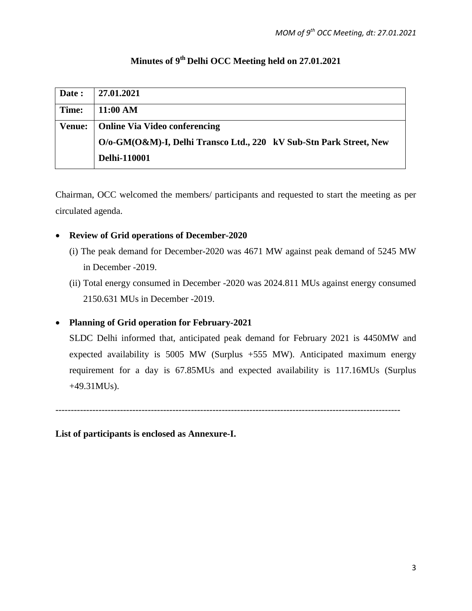# **Minutes of 9th Delhi OCC Meeting held on 27.01.2021**

| Date:         | 27.01.2021                                                         |
|---------------|--------------------------------------------------------------------|
| Time:         | 11:00 AM                                                           |
| <b>Venue:</b> | <b>Online Via Video conferencing</b>                               |
|               | O/o-GM(O&M)-I, Delhi Transco Ltd., 220 kV Sub-Stn Park Street, New |
|               | <b>Delhi-110001</b>                                                |

Chairman, OCC welcomed the members/ participants and requested to start the meeting as per circulated agenda.

#### • **Review of Grid operations of December-2020**

- (i) The peak demand for December-2020 was 4671 MW against peak demand of 5245 MW in December -2019.
- (ii) Total energy consumed in December -2020 was 2024.811 MUs against energy consumed 2150.631 MUs in December -2019.

## • **Planning of Grid operation for February-2021**

 SLDC Delhi informed that, anticipated peak demand for February 2021 is 4450MW and expected availability is 5005 MW (Surplus +555 MW). Anticipated maximum energy requirement for a day is 67.85MUs and expected availability is 117.16MUs (Surplus +49.31MUs).

----------------------------------------------------------------------------------------------------------------

**List of participants is enclosed as Annexure-I.**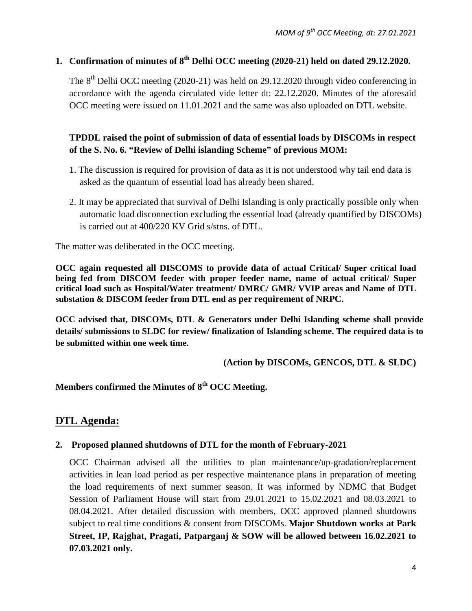## **1. Confirmation of minutes of 8th Delhi OCC meeting (2020-21) held on dated 29.12.2020.**

The  $8<sup>th</sup>$  Delhi OCC meeting (2020-21) was held on 29.12.2020 through video conferencing in accordance with the agenda circulated vide letter dt: 22.12.2020. Minutes of the aforesaid OCC meeting were issued on 11.01.2021 and the same was also uploaded on DTL website.

## **TPDDL raised the point of submission of data of essential loads by DISCOMs in respect of the S. No. 6. "Review of Delhi islanding Scheme" of previous MOM:**

- 1. The discussion is required for provision of data as it is not understood why tail end data is asked as the quantum of essential load has already been shared.
- 2. It may be appreciated that survival of Delhi Islanding is only practically possible only when automatic load disconnection excluding the essential load (already quantified by DISCOMs) is carried out at 400/220 KV Grid s/stns. of DTL.

The matter was deliberated in the OCC meeting.

**OCC again requested all DISCOMS to provide data of actual Critical/ Super critical load being fed from DISCOM feeder with proper feeder name, name of actual critical/ Super critical load such as Hospital/Water treatment/ DMRC/ GMR/ VVIP areas and Name of DTL substation & DISCOM feeder from DTL end as per requirement of NRPC.**

**OCC advised that, DISCOMs, DTL & Generators under Delhi Islanding scheme shall provide details/ submissions to SLDC for review/ finalization of Islanding scheme. The required data is to be submitted within one week time.**

**(Action by DISCOMs, GENCOS, DTL & SLDC)**

**Members confirmed the Minutes of 8th OCC Meeting.**

## **DTL Agenda:**

#### **2. Proposed planned shutdowns of DTL for the month of February-2021**

OCC Chairman advised all the utilities to plan maintenance/up-gradation/replacement activities in lean load period as per respective maintenance plans in preparation of meeting the load requirements of next summer season. It was informed by NDMC that Budget Session of Parliament House will start from 29.01.2021 to 15.02.2021 and 08.03.2021 to 08.04.2021. After detailed discussion with members, OCC approved planned shutdowns subject to real time conditions & consent from DISCOMs. **Major Shutdown works at Park Street, IP, Rajghat, Pragati, Patparganj & SOW will be allowed between 16.02.2021 to 07.03.2021 only.**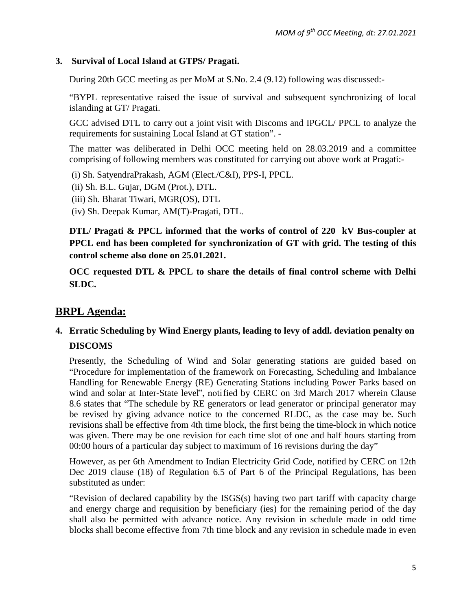#### **3. Survival of Local Island at GTPS/ Pragati.**

During 20th GCC meeting as per MoM at S.No. 2.4 (9.12) following was discussed:-

"BYPL representative raised the issue of survival and subsequent synchronizing of local islanding at GT/ Pragati.

GCC advised DTL to carry out a joint visit with Discoms and IPGCL/ PPCL to analyze the requirements for sustaining Local Island at GT station". -

The matter was deliberated in Delhi OCC meeting held on 28.03.2019 and a committee comprising of following members was constituted for carrying out above work at Pragati:-

(i) Sh. SatyendraPrakash, AGM (Elect./C&I), PPS-I, PPCL.

(ii) Sh. B.L. Gujar, DGM (Prot.), DTL.

(iii) Sh. Bharat Tiwari, MGR(OS), DTL

(iv) Sh. Deepak Kumar, AM(T)-Pragati, DTL.

**DTL/ Pragati & PPCL informed that the works of control of 220 kV Bus-coupler at PPCL end has been completed for synchronization of GT with grid. The testing of this control scheme also done on 25.01.2021.**

**OCC requested DTL & PPCL to share the details of final control scheme with Delhi SLDC.**

# **BRPL Agenda:**

## **4. Erratic Scheduling by Wind Energy plants, leading to levy of addl. deviation penalty on DISCOMS**

Presently, the Scheduling of Wind and Solar generating stations are guided based on "Procedure for implementation of the framework on Forecasting, Scheduling and Imbalance Handling for Renewable Energy (RE) Generating Stations including Power Parks based on wind and solar at Inter-State level", notified by CERC on 3rd March 2017 wherein Clause 8.6 states that "The schedule by RE generators or lead generator or principal generator may be revised by giving advance notice to the concerned RLDC, as the case may be. Such revisions shall be effective from 4th time block, the first being the time-block in which notice was given. There may be one revision for each time slot of one and half hours starting from 00:00 hours of a particular day subject to maximum of 16 revisions during the day"

However, as per 6th Amendment to Indian Electricity Grid Code, notified by CERC on 12th Dec 2019 clause (18) of Regulation 6.5 of Part 6 of the Principal Regulations, has been substituted as under:

"Revision of declared capability by the ISGS(s) having two part tariff with capacity charge and energy charge and requisition by beneficiary (ies) for the remaining period of the day shall also be permitted with advance notice. Any revision in schedule made in odd time blocks shall become effective from 7th time block and any revision in schedule made in even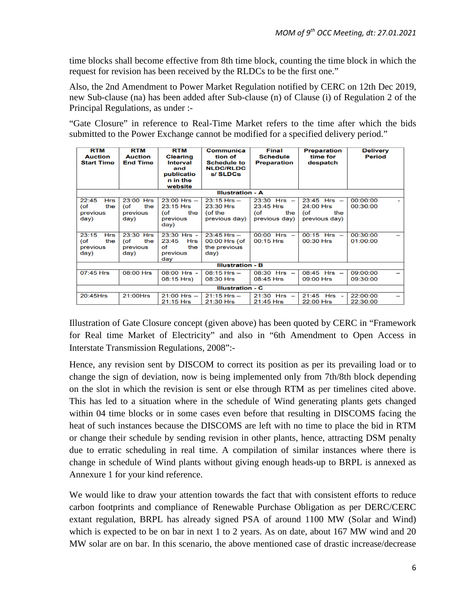time blocks shall become effective from 8th time block, counting the time block in which the request for revision has been received by the RLDCs to be the first one."

Also, the 2nd Amendment to Power Market Regulation notified by CERC on 12th Dec 2019, new Sub-clause (na) has been added after Sub-clause (n) of Clause (i) of Regulation 2 of the Principal Regulations, as under :-

"Gate Closure" in reference to Real-Time Market refers to the time after which the bids submitted to the Power Exchange cannot be modified for a specified delivery period."

| <b>RTM</b><br><b>Auction</b><br><b>Start Time</b>     | <b>RTM</b><br><b>Auction</b><br><b>End Time</b> | <b>RTM</b><br><b>Clearing</b><br>Interval<br>and<br>publicatio<br>n in the<br>website | Communica<br>tion of<br><b>Schedule to</b><br><b>NLDC/RLDC</b><br>s/ SLDCs | Final<br><b>Schedule</b><br><b>Preparation</b>              | <b>Preparation</b><br>time for<br>despatch                     | <b>Delivery</b><br><b>Period</b> |
|-------------------------------------------------------|-------------------------------------------------|---------------------------------------------------------------------------------------|----------------------------------------------------------------------------|-------------------------------------------------------------|----------------------------------------------------------------|----------------------------------|
| <b>Illustration - A</b>                               |                                                 |                                                                                       |                                                                            |                                                             |                                                                |                                  |
| 22:45<br><b>Hrs</b><br>(of<br>the<br>previous<br>day) | 23:00 Hrs<br>the<br>(of<br>previous<br>day)     | $23:00$ Hrs $-$<br>23:15 Hrs<br>(of<br>the<br>previous<br>day)                        | $23:15$ Hrs $-$<br>23:30 Hrs<br>$($ of the<br>previous day)                | $23:30$ Hrs $-$<br>23:45 Hrs<br>(of<br>the<br>previous day) | $23:45$ Hrs $-$<br>24:00 Hrs<br>$($ of<br>the<br>previous day) | 00:00:00<br>00:30:00             |
| 23:15<br><b>Hrs</b><br>(of<br>the<br>previous<br>day) | 23:30 Hrs<br>(of<br>the<br>previous<br>day)     | $23:30$ Hrs -<br>23:45<br>Hrs<br>Οf<br>the<br>previous<br>day                         | $23:45$ Hrs $-$<br>00:00 Hrs (of<br>the previous<br>day)                   | $00:00$ Hrs $-$<br>00:15 Hrs                                | $00:15$ Hrs $-$<br>00:30 Hrs                                   | 00:30:00<br>01:00:00             |
| <b>Illustration - B</b>                               |                                                 |                                                                                       |                                                                            |                                                             |                                                                |                                  |
| 07:45 Hrs                                             | 08:00 Hrs                                       | 08:00 Hrs -<br>08:15 Hrs)                                                             | $08:15$ Hrs $-$<br>08:30 Hrs                                               | $08:30$ Hrs $-$<br>08:45 Hrs                                | $08:45$ Hrs $-$<br>09:00 Hrs                                   | 09:00:00<br>09:30:00             |
| <b>Illustration - C</b>                               |                                                 |                                                                                       |                                                                            |                                                             |                                                                |                                  |
| 20:45Hrs                                              | 21:00Hrs                                        | $21:00$ Hrs $-$<br>21:15 Hrs                                                          | $21:15$ Hrs $-$<br>21:30 Hrs                                               | $21:30$ Hrs $-$<br>21:45 Hrs                                | 21:45 Hrs -<br>22:00 Hrs                                       | 22:00:00<br>22:30:00             |

Illustration of Gate Closure concept (given above) has been quoted by CERC in "Framework for Real time Market of Electricity" and also in "6th Amendment to Open Access in Interstate Transmission Regulations, 2008":-

Hence, any revision sent by DISCOM to correct its position as per its prevailing load or to change the sign of deviation, now is being implemented only from 7th/8th block depending on the slot in which the revision is sent or else through RTM as per timelines cited above. This has led to a situation where in the schedule of Wind generating plants gets changed within 04 time blocks or in some cases even before that resulting in DISCOMS facing the heat of such instances because the DISCOMS are left with no time to place the bid in RTM or change their schedule by sending revision in other plants, hence, attracting DSM penalty due to erratic scheduling in real time. A compilation of similar instances where there is change in schedule of Wind plants without giving enough heads-up to BRPL is annexed as Annexure 1 for your kind reference.

We would like to draw your attention towards the fact that with consistent efforts to reduce carbon footprints and compliance of Renewable Purchase Obligation as per DERC/CERC extant regulation, BRPL has already signed PSA of around 1100 MW (Solar and Wind) which is expected to be on bar in next 1 to 2 years. As on date, about 167 MW wind and 20 MW solar are on bar. In this scenario, the above mentioned case of drastic increase/decrease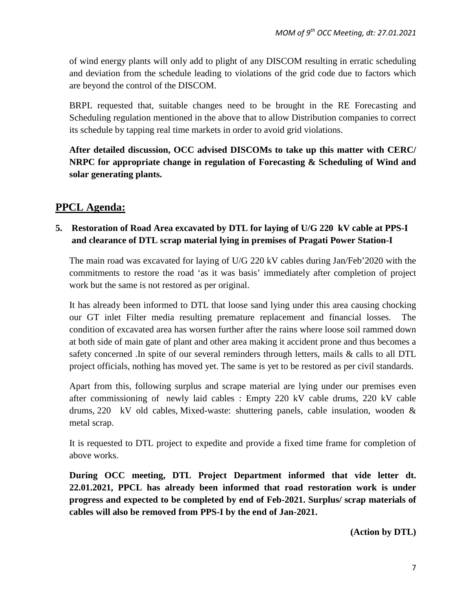of wind energy plants will only add to plight of any DISCOM resulting in erratic scheduling and deviation from the schedule leading to violations of the grid code due to factors which are beyond the control of the DISCOM.

BRPL requested that, suitable changes need to be brought in the RE Forecasting and Scheduling regulation mentioned in the above that to allow Distribution companies to correct its schedule by tapping real time markets in order to avoid grid violations.

**After detailed discussion, OCC advised DISCOMs to take up this matter with CERC/ NRPC for appropriate change in regulation of Forecasting & Scheduling of Wind and solar generating plants.** 

## **PPCL Agenda:**

## **5. Restoration of Road Area excavated by DTL for laying of U/G 220 kV cable at PPS-I and clearance of DTL scrap material lying in premises of Pragati Power Station-I**

The main road was excavated for laying of U/G 220 kV cables during Jan/Feb'2020 with the commitments to restore the road 'as it was basis' immediately after completion of project work but the same is not restored as per original.

It has already been informed to DTL that loose sand lying under this area causing chocking our GT inlet Filter media resulting premature replacement and financial losses. The condition of excavated area has worsen further after the rains where loose soil rammed down at both side of main gate of plant and other area making it accident prone and thus becomes a safety concerned .In spite of our several reminders through letters, mails & calls to all DTL project officials, nothing has moved yet. The same is yet to be restored as per civil standards.

Apart from this, following surplus and scrape material are lying under our premises even after commissioning of newly laid cables : Empty 220 kV cable drums, 220 kV cable drums, 220 kV old cables, Mixed-waste: shuttering panels, cable insulation, wooden & metal scrap.

It is requested to DTL project to expedite and provide a fixed time frame for completion of above works.

**During OCC meeting, DTL Project Department informed that vide letter dt. 22.01.2021, PPCL has already been informed that road restoration work is under progress and expected to be completed by end of Feb-2021. Surplus/ scrap materials of cables will also be removed from PPS-I by the end of Jan-2021.**

**(Action by DTL)**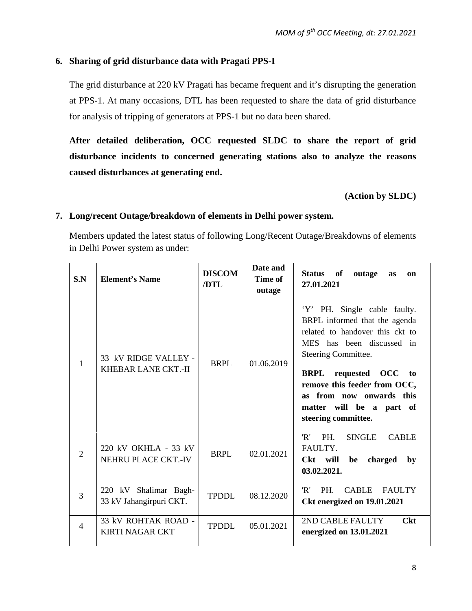#### **6. Sharing of grid disturbance data with Pragati PPS-I**

The grid disturbance at 220 kV Pragati has became frequent and it's disrupting the generation at PPS-1. At many occasions, DTL has been requested to share the data of grid disturbance for analysis of tripping of generators at PPS-1 but no data been shared.

**After detailed deliberation, OCC requested SLDC to share the report of grid disturbance incidents to concerned generating stations also to analyze the reasons caused disturbances at generating end.** 

**(Action by SLDC)**

#### **7. Long/recent Outage/breakdown of elements in Delhi power system.**

Members updated the latest status of following Long/Recent Outage/Breakdowns of elements in Delhi Power system as under:

| S.N | <b>Element's Name</b>                            | <b>DISCOM</b><br>/DTL | Date and<br>Time of<br>outage | of<br><b>Status</b><br>outage<br>as<br><sub>on</sub><br>27.01.2021                                                                                                                                                                                                                                     |
|-----|--------------------------------------------------|-----------------------|-------------------------------|--------------------------------------------------------------------------------------------------------------------------------------------------------------------------------------------------------------------------------------------------------------------------------------------------------|
| 1   | 33 kV RIDGE VALLEY -<br>KHEBAR LANE CKT.-II      | <b>BRPL</b>           | 01.06.2019                    | 'Y' PH. Single cable faulty.<br>BRPL informed that the agenda<br>related to handover this ckt to<br>MES has been discussed in<br>Steering Committee.<br><b>BRPL</b> requested OCC<br>to<br>remove this feeder from OCC,<br>as from now onwards this<br>matter will be a part of<br>steering committee. |
| 2   | 220 kV OKHLA - 33 kV<br>NEHRU PLACE CKT.-IV      | <b>BRPL</b>           | 02.01.2021                    | 'R'<br>PH.<br><b>SINGLE</b><br><b>CABLE</b><br>FAULTY.<br>Ckt will<br>charged<br>be<br>by<br>03.02.2021.                                                                                                                                                                                               |
| 3   | 220 kV Shalimar Bagh-<br>33 kV Jahangirpuri CKT. | <b>TPDDL</b>          | 08.12.2020                    | 'R'<br>PH.<br><b>CABLE</b><br><b>FAULTY</b><br>Ckt energized on 19.01.2021                                                                                                                                                                                                                             |
| 4   | 33 kV ROHTAK ROAD -<br><b>KIRTI NAGAR CKT</b>    | <b>TPDDL</b>          | 05.01.2021                    | 2ND CABLE FAULTY<br><b>Ckt</b><br>energized on 13.01.2021                                                                                                                                                                                                                                              |